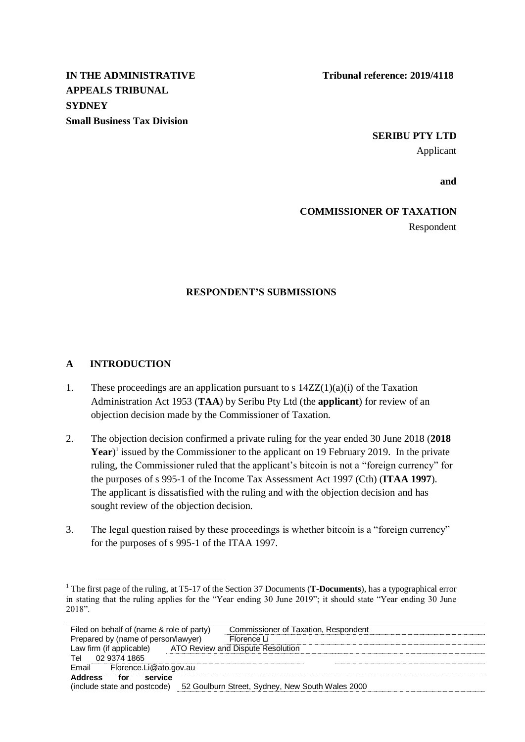**APPEALS TRIBUNAL SYDNEY Small Business Tax Division**

# **SERIBU PTY LTD**

Applicant

**and**

# **COMMISSIONER OF TAXATION**

Respondent

## **RESPONDENT'S SUBMISSIONS**

#### **A INTRODUCTION**

l

- 1. These proceedings are an application pursuant to s  $14ZZ(1)(a)(i)$  of the Taxation Administration Act 1953 (**TAA**) by Seribu Pty Ltd (the **applicant**) for review of an objection decision made by the Commissioner of Taxation.
- 2. The objection decision confirmed a private ruling for the year ended 30 June 2018 (**2018**  Year<sup>)</sup> issued by the Commissioner to the applicant on 19 February 2019. In the private ruling, the Commissioner ruled that the applicant's bitcoin is not a "foreign currency" for the purposes of s 995-1 of the Income Tax Assessment Act 1997 (Cth) (**ITAA 1997**). The applicant is dissatisfied with the ruling and with the objection decision and has sought review of the objection decision.
- 3. The legal question raised by these proceedings is whether bitcoin is a "foreign currency" for the purposes of s 995-1 of the ITAA 1997.

<sup>1</sup> The first page of the ruling, at T5-17 of the Section 37 Documents (**T-Documents**), has a typographical error in stating that the ruling applies for the "Year ending 30 June 2019"; it should state "Year ending 30 June 2018".

| Filed on behalf of (name & role of party) | Commissioner of Taxation, Respondent             |
|-------------------------------------------|--------------------------------------------------|
| Prepared by (name of person/lawyer)       | Florence Li                                      |
| Law firm (if applicable)                  | ATO Review and Dispute Resolution                |
| 02 9374 1865<br>Tel                       |                                                  |
| Email<br>Florence.Li@ato.gov.au           |                                                  |
| <b>Address</b><br>service<br>for          |                                                  |
| (include state and postcode)              | 52 Goulburn Street, Sydney, New South Wales 2000 |
|                                           |                                                  |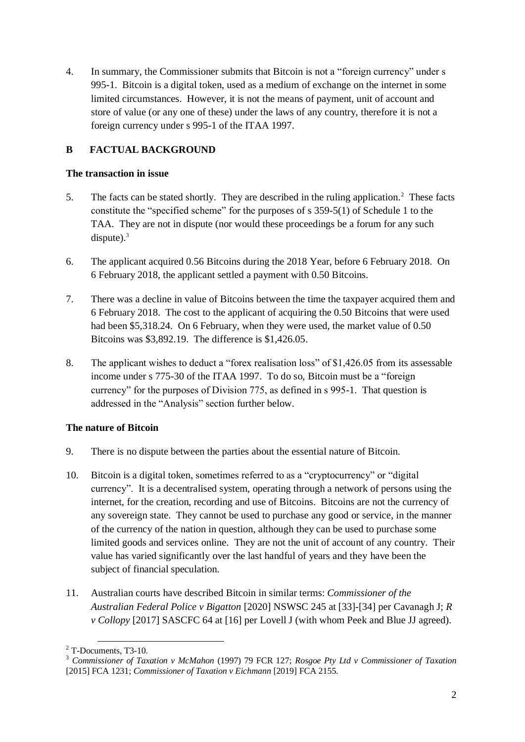4. In summary, the Commissioner submits that Bitcoin is not a "foreign currency" under s 995-1. Bitcoin is a digital token, used as a medium of exchange on the internet in some limited circumstances. However, it is not the means of payment, unit of account and store of value (or any one of these) under the laws of any country, therefore it is not a foreign currency under s 995-1 of the ITAA 1997.

# **B FACTUAL BACKGROUND**

#### **The transaction in issue**

- 5. The facts can be stated shortly. They are described in the ruling application.<sup>2</sup> These facts constitute the "specified scheme" for the purposes of s 359-5(1) of Schedule 1 to the TAA. They are not in dispute (nor would these proceedings be a forum for any such dispute). $3$
- 6. The applicant acquired 0.56 Bitcoins during the 2018 Year, before 6 February 2018. On 6 February 2018, the applicant settled a payment with 0.50 Bitcoins.
- 7. There was a decline in value of Bitcoins between the time the taxpayer acquired them and 6 February 2018. The cost to the applicant of acquiring the 0.50 Bitcoins that were used had been \$5,318.24. On 6 February, when they were used, the market value of 0.50 Bitcoins was \$3,892.19. The difference is \$1,426.05.
- 8. The applicant wishes to deduct a "forex realisation loss" of \$1,426.05 from its assessable income under s 775-30 of the ITAA 1997. To do so, Bitcoin must be a "foreign currency" for the purposes of Division 775, as defined in s 995-1. That question is addressed in the "Analysis" section further below.

## **The nature of Bitcoin**

- 9. There is no dispute between the parties about the essential nature of Bitcoin.
- 10. Bitcoin is a digital token, sometimes referred to as a "cryptocurrency" or "digital currency". It is a decentralised system, operating through a network of persons using the internet, for the creation, recording and use of Bitcoins. Bitcoins are not the currency of any sovereign state. They cannot be used to purchase any good or service, in the manner of the currency of the nation in question, although they can be used to purchase some limited goods and services online. They are not the unit of account of any country. Their value has varied significantly over the last handful of years and they have been the subject of financial speculation.
- 11. Australian courts have described Bitcoin in similar terms: *Commissioner of the Australian Federal Police v Bigatton* [2020] NSWSC 245 at [33]-[34] per Cavanagh J; *R v Collopy* [2017] SASCFC 64 at [16] per Lovell J (with whom Peek and Blue JJ agreed).

l  $2$  T-Documents, T3-10.

<sup>3</sup> *Commissioner of Taxation v McMahon* (1997) 79 FCR 127; *Rosgoe Pty Ltd v Commissioner of Taxation* [2015] FCA 1231; *Commissioner of Taxation v Eichmann* [2019] FCA 2155.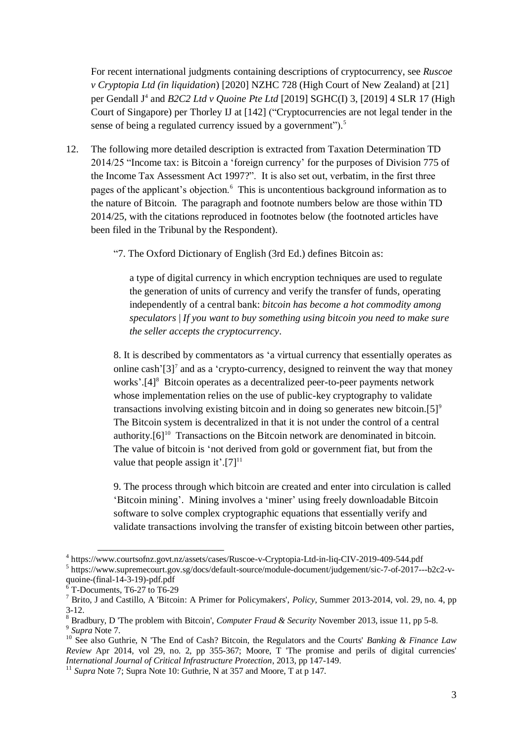For recent international judgments containing descriptions of cryptocurrency, see *Ruscoe v Cryptopia Ltd (in liquidation*) [2020] NZHC 728 (High Court of New Zealand) at [21] per Gendall J<sup>4</sup> and *B2C2 Ltd v Quoine Pte Ltd* [2019] SGHC(I) 3, [2019] 4 SLR 17 (High Court of Singapore) per Thorley IJ at [142] ("Cryptocurrencies are not legal tender in the sense of being a regulated currency issued by a government").<sup>5</sup>

- 12. The following more detailed description is extracted from Taxation Determination TD 2014/25 "Income tax: is Bitcoin a 'foreign currency' for the purposes of Division 775 of the Income Tax Assessment Act 1997?". It is also set out, verbatim, in the first three pages of the applicant's objection.<sup>6</sup> This is uncontentious background information as to the nature of Bitcoin. The paragraph and footnote numbers below are those within TD 2014/25, with the citations reproduced in footnotes below (the footnoted articles have been filed in the Tribunal by the Respondent).
	- "7. The Oxford Dictionary of English (3rd Ed.) defines Bitcoin as:

a type of digital currency in which encryption techniques are used to regulate the generation of units of currency and verify the transfer of funds, operating independently of a central bank: *bitcoin has become a hot commodity among speculators* | *If you want to buy something using bitcoin you need to make sure the seller accepts the cryptocurrency*.

8. It is described by commentators as 'a virtual currency that essentially operates as online cash' $[3]$ <sup>7</sup> and as a 'crypto-currency, designed to reinvent the way that money works'.<sup>[4]8</sup> Bitcoin operates as a decentralized peer-to-peer payments network whose implementation relies on the use of public-key cryptography to validate transactions involving existing bitcoin and in doing so generates new bitcoin.[5] $\degree$ The Bitcoin system is decentralized in that it is not under the control of a central authority. $[6]^{10}$  Transactions on the Bitcoin network are denominated in bitcoin. The value of bitcoin is 'not derived from gold or government fiat, but from the value that people assign it'.[7] $11$ 

9. The process through which bitcoin are created and enter into circulation is called 'Bitcoin mining'. Mining involves a 'miner' using freely downloadable Bitcoin software to solve complex cryptographic equations that essentially verify and validate transactions involving the transfer of existing bitcoin between other parties,

 4 https://www.courtsofnz.govt.nz/assets/cases/Ruscoe-v-Cryptopia-Ltd-in-liq-CIV-2019-409-544.pdf 5 https://www.supremecourt.gov.sg/docs/default-source/module-document/judgement/sic-7-of-2017---b2c2-vquoine-(final-14-3-19)-pdf.pdf

<sup>6</sup> T-Documents, T6-27 to T6-29

<sup>7</sup> Brito, J and Castillo, A 'Bitcoin: A Primer for Policymakers', *Policy*, Summer 2013-2014, vol. 29, no. 4, pp 3-12.

<sup>8</sup> Bradbury, D 'The problem with Bitcoin', *Computer Fraud & Security* November 2013, issue 11, pp 5-8. 9 *Supra* Note 7.

<sup>10</sup> See also Guthrie, N 'The End of Cash? Bitcoin, the Regulators and the Courts' *Banking & Finance Law Review* Apr 2014, vol 29, no. 2, pp 355-367; Moore, T 'The promise and perils of digital currencies' *International Journal of Critical Infrastructure Protection*, 2013, pp 147-149.

<sup>&</sup>lt;sup>11</sup> *Supra* Note 7; Supra Note 10: Guthrie, N at 357 and Moore, T at p 147.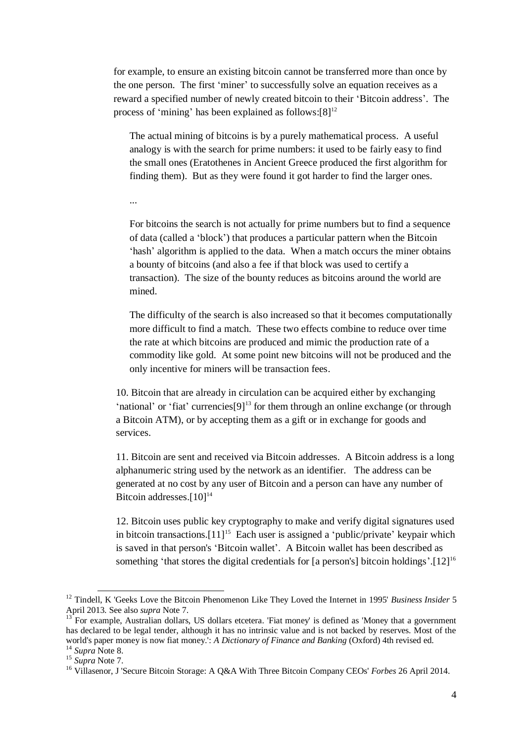for example, to ensure an existing bitcoin cannot be transferred more than once by the one person. The first 'miner' to successfully solve an equation receives as a reward a specified number of newly created bitcoin to their 'Bitcoin address'. The process of 'mining' has been explained as follows: $[8]^{12}$ 

The actual mining of bitcoins is by a purely mathematical process. A useful analogy is with the search for prime numbers: it used to be fairly easy to find the small ones (Eratothenes in Ancient Greece produced the first algorithm for finding them). But as they were found it got harder to find the larger ones.

...

For bitcoins the search is not actually for prime numbers but to find a sequence of data (called a 'block') that produces a particular pattern when the Bitcoin 'hash' algorithm is applied to the data. When a match occurs the miner obtains a bounty of bitcoins (and also a fee if that block was used to certify a transaction). The size of the bounty reduces as bitcoins around the world are mined.

The difficulty of the search is also increased so that it becomes computationally more difficult to find a match. These two effects combine to reduce over time the rate at which bitcoins are produced and mimic the production rate of a commodity like gold. At some point new bitcoins will not be produced and the only incentive for miners will be transaction fees.

10. Bitcoin that are already in circulation can be acquired either by exchanging 'national' or 'fiat' currencies $[9]$ <sup>13</sup> for them through an online exchange (or through a Bitcoin ATM), or by accepting them as a gift or in exchange for goods and services.

11. Bitcoin are sent and received via Bitcoin addresses. A Bitcoin address is a long alphanumeric string used by the network as an identifier. The address can be generated at no cost by any user of Bitcoin and a person can have any number of Bitcoin addresses. $[10]^{14}$ 

12. Bitcoin uses public key cryptography to make and verify digital signatures used in bitcoin transactions. $[11]^{15}$  Each user is assigned a 'public/private' keypair which is saved in that person's 'Bitcoin wallet'. A Bitcoin wallet has been described as something 'that stores the digital credentials for [a person's] bitcoin holdings'.[12]<sup>16</sup>

l

<sup>&</sup>lt;sup>12</sup> Tindell, K 'Geeks Love the Bitcoin Phenomenon Like They Loved the Internet in 1995' *Business Insider* 5 April 2013. See also *supra* Note 7.

<sup>13</sup> For example, Australian dollars, US dollars etcetera. 'Fiat money' is defined as 'Money that a government has declared to be legal tender, although it has no intrinsic value and is not backed by reserves. Most of the world's paper money is now fiat money.': *A Dictionary of Finance and Banking* (Oxford) 4th revised ed. <sup>14</sup> *Supra* Note 8.

<sup>15</sup> *Supra* Note 7.

<sup>16</sup> Villasenor, J 'Secure Bitcoin Storage: A Q&A With Three Bitcoin Company CEOs' *Forbes* 26 April 2014.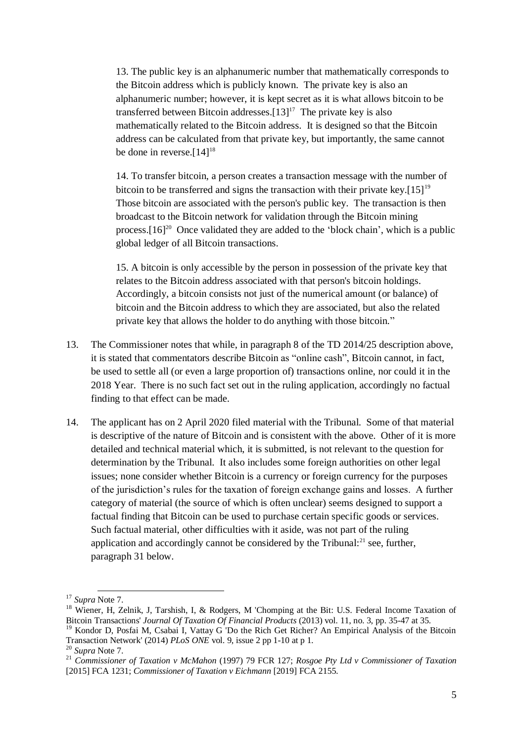13. The public key is an alphanumeric number that mathematically corresponds to the Bitcoin address which is publicly known. The private key is also an alphanumeric number; however, it is kept secret as it is what allows bitcoin to be transferred between Bitcoin addresses. $[13]^{17}$  The private key is also mathematically related to the Bitcoin address. It is designed so that the Bitcoin address can be calculated from that private key, but importantly, the same cannot be done in reverse.<sup>[14]<sup>18</sup></sup>

14. To transfer bitcoin, a person creates a transaction message with the number of bitcoin to be transferred and signs the transaction with their private key. $[15]^{19}$ Those bitcoin are associated with the person's public key. The transaction is then broadcast to the Bitcoin network for validation through the Bitcoin mining process. $[16]^{20}$  Once validated they are added to the 'block chain', which is a public global ledger of all Bitcoin transactions.

15. A bitcoin is only accessible by the person in possession of the private key that relates to the Bitcoin address associated with that person's bitcoin holdings. Accordingly, a bitcoin consists not just of the numerical amount (or balance) of bitcoin and the Bitcoin address to which they are associated, but also the related private key that allows the holder to do anything with those bitcoin."

- 13. The Commissioner notes that while, in paragraph 8 of the TD 2014/25 description above, it is stated that commentators describe Bitcoin as "online cash", Bitcoin cannot, in fact, be used to settle all (or even a large proportion of) transactions online, nor could it in the 2018 Year. There is no such fact set out in the ruling application, accordingly no factual finding to that effect can be made.
- 14. The applicant has on 2 April 2020 filed material with the Tribunal. Some of that material is descriptive of the nature of Bitcoin and is consistent with the above. Other of it is more detailed and technical material which, it is submitted, is not relevant to the question for determination by the Tribunal. It also includes some foreign authorities on other legal issues; none consider whether Bitcoin is a currency or foreign currency for the purposes of the jurisdiction's rules for the taxation of foreign exchange gains and losses. A further category of material (the source of which is often unclear) seems designed to support a factual finding that Bitcoin can be used to purchase certain specific goods or services. Such factual material, other difficulties with it aside, was not part of the ruling application and accordingly cannot be considered by the Tribunal: $^{21}$  see, further, paragraph 31 below.

l <sup>17</sup> *Supra* Note 7.

<sup>&</sup>lt;sup>18</sup> Wiener, H, Zelnik, J, Tarshish, I, & Rodgers, M 'Chomping at the Bit: U.S. Federal Income Taxation of Bitcoin Transactions' *Journal Of Taxation Of Financial Products* (2013) vol. 11, no. 3, pp. 35-47 at 35.

<sup>&</sup>lt;sup>19</sup> Kondor D, Posfai M, Csabai I, Vattay G 'Do the Rich Get Richer? An Empirical Analysis of the Bitcoin Transaction Network' (2014) *PLoS ONE* vol. 9, issue 2 pp 1-10 at p 1.

<sup>20</sup> *Supra* Note 7.

<sup>21</sup> *Commissioner of Taxation v McMahon* (1997) 79 FCR 127; *Rosgoe Pty Ltd v Commissioner of Taxation* [2015] FCA 1231; *Commissioner of Taxation v Eichmann* [2019] FCA 2155.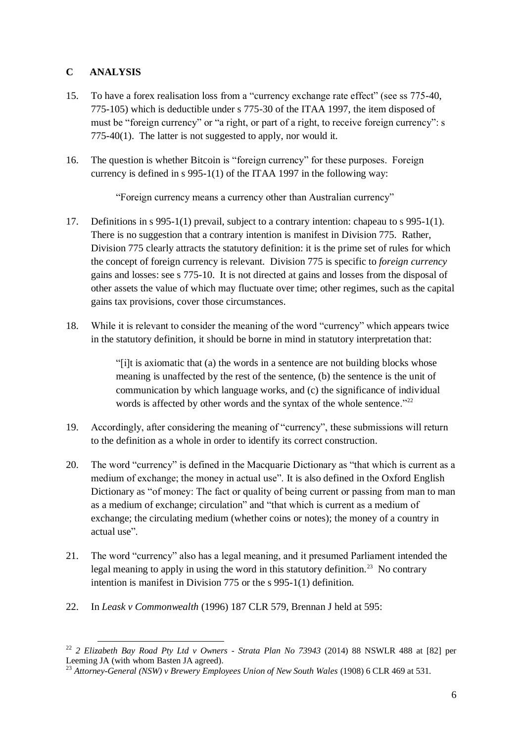# **C ANALYSIS**

- 15. To have a forex realisation loss from a "currency exchange rate effect" (see ss 775-40, 775-105) which is deductible under s 775-30 of the ITAA 1997, the item disposed of must be "foreign currency" or "a right, or part of a right, to receive foreign currency": s 775-40(1). The latter is not suggested to apply, nor would it.
- 16. The question is whether Bitcoin is "foreign currency" for these purposes. Foreign currency is defined in s 995-1(1) of the ITAA 1997 in the following way:

"Foreign currency means a currency other than Australian currency"

- 17. Definitions in s 995-1(1) prevail, subject to a contrary intention: chapeau to s 995-1(1). There is no suggestion that a contrary intention is manifest in Division 775. Rather, Division 775 clearly attracts the statutory definition: it is the prime set of rules for which the concept of foreign currency is relevant. Division 775 is specific to *foreign currency* gains and losses: see s 775-10. It is not directed at gains and losses from the disposal of other assets the value of which may fluctuate over time; other regimes, such as the capital gains tax provisions, cover those circumstances.
- 18. While it is relevant to consider the meaning of the word "currency" which appears twice in the statutory definition, it should be borne in mind in statutory interpretation that:

"[i]t is axiomatic that (a) the words in a sentence are not building blocks whose meaning is unaffected by the rest of the sentence, (b) the sentence is the unit of communication by which language works, and (c) the significance of individual words is affected by other words and the syntax of the whole sentence." $^{22}$ 

- 19. Accordingly, after considering the meaning of "currency", these submissions will return to the definition as a whole in order to identify its correct construction.
- 20. The word "currency" is defined in the Macquarie Dictionary as "that which is current as a medium of exchange; the money in actual use". It is also defined in the Oxford English Dictionary as "of money: The fact or quality of being current or passing from man to man as a medium of exchange; circulation" and "that which is current as a medium of exchange; the circulating medium (whether coins or notes); the money of a country in actual use".
- 21. The word "currency" also has a legal meaning, and it presumed Parliament intended the legal meaning to apply in using the word in this statutory definition.<sup>23</sup> No contrary intention is manifest in Division 775 or the s 995-1(1) definition.
- 22. In *Leask v Commonwealth* (1996) 187 CLR 579, Brennan J held at 595:

l <sup>22</sup> *2 Elizabeth Bay Road Pty Ltd v Owners - Strata Plan No 73943* (2014) 88 NSWLR 488 at [82] per Leeming JA (with whom Basten JA agreed).

<sup>23</sup> *Attorney-General (NSW) v Brewery Employees Union of New South Wales* (1908) 6 CLR 469 at 531.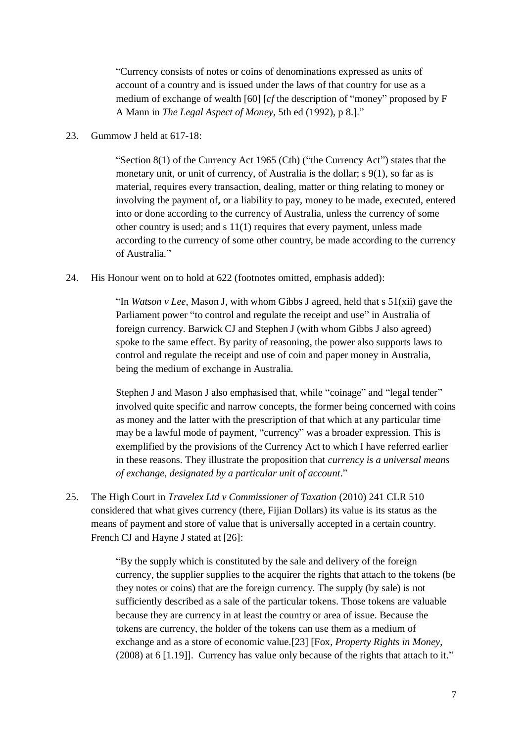"Currency consists of notes or coins of denominations expressed as units of account of a country and is issued under the laws of that country for use as a medium of exchange of wealth [60] [*cf* the description of "money" proposed by F A Mann in *The Legal Aspect of Money*, 5th ed (1992), p 8.]."

23. Gummow J held at 617-18:

"Section  $8(1)$  of the Currency Act 1965 (Cth) ("the Currency Act") states that the monetary unit, or unit of currency, of Australia is the dollar; s 9(1), so far as is material, requires every transaction, dealing, matter or thing relating to money or involving the payment of, or a liability to pay, money to be made, executed, entered into or done according to the currency of Australia, unless the currency of some other country is used; and s 11(1) requires that every payment, unless made according to the currency of some other country, be made according to the currency of Australia."

24. His Honour went on to hold at 622 (footnotes omitted, emphasis added):

"In *Watson v Lee*, Mason J, with whom Gibbs J agreed, held that s 51(xii) gave the Parliament power "to control and regulate the receipt and use" in Australia of foreign currency. Barwick CJ and Stephen J (with whom Gibbs J also agreed) spoke to the same effect. By parity of reasoning, the power also supports laws to control and regulate the receipt and use of coin and paper money in Australia, being the medium of exchange in Australia.

Stephen J and Mason J also emphasised that, while "coinage" and "legal tender" involved quite specific and narrow concepts, the former being concerned with coins as money and the latter with the prescription of that which at any particular time may be a lawful mode of payment, "currency" was a broader expression. This is exemplified by the provisions of the Currency Act to which I have referred earlier in these reasons. They illustrate the proposition that *currency is a universal means of exchange, designated by a particular unit of account*."

25. The High Court in *Travelex Ltd v Commissioner of Taxation* (2010) 241 CLR 510 considered that what gives currency (there, Fijian Dollars) its value is its status as the means of payment and store of value that is universally accepted in a certain country. French CJ and Hayne J stated at [26]:

> "By the supply which is constituted by the sale and delivery of the foreign currency, the supplier supplies to the acquirer the rights that attach to the tokens (be they notes or coins) that are the foreign currency. The supply (by sale) is not sufficiently described as a sale of the particular tokens. Those tokens are valuable because they are currency in at least the country or area of issue. Because the tokens are currency, the holder of the tokens can use them as a medium of exchange and as a store of economic value.[23] [Fox, *Property Rights in Money*, (2008) at 6 [1.19]]. Currency has value only because of the rights that attach to it."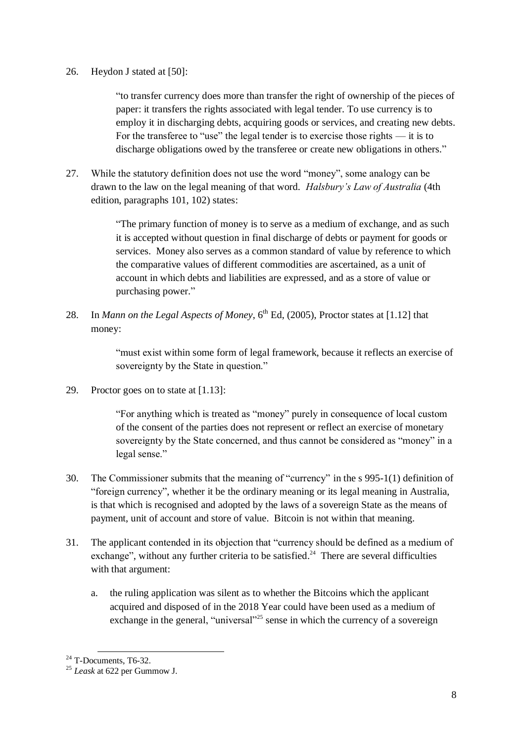#### 26. Heydon J stated at [50]:

"to transfer currency does more than transfer the right of ownership of the pieces of paper: it transfers the rights associated with legal tender. To use currency is to employ it in discharging debts, acquiring goods or services, and creating new debts. For the transferee to "use" the legal tender is to exercise those rights — it is to discharge obligations owed by the transferee or create new obligations in others."

27. While the statutory definition does not use the word "money", some analogy can be drawn to the law on the legal meaning of that word. *Halsbury's Law of Australia* (4th edition, paragraphs 101, 102) states:

> "The primary function of money is to serve as a medium of exchange, and as such it is accepted without question in final discharge of debts or payment for goods or services. Money also serves as a common standard of value by reference to which the comparative values of different commodities are ascertained, as a unit of account in which debts and liabilities are expressed, and as a store of value or purchasing power."

28. In *Mann on the Legal Aspects of Money*, 6<sup>th</sup> Ed, (2005), Proctor states at [1.12] that money:

> "must exist within some form of legal framework, because it reflects an exercise of sovereignty by the State in question."

29. Proctor goes on to state at [1.13]:

"For anything which is treated as "money" purely in consequence of local custom of the consent of the parties does not represent or reflect an exercise of monetary sovereignty by the State concerned, and thus cannot be considered as "money" in a legal sense."

- 30. The Commissioner submits that the meaning of "currency" in the s 995-1(1) definition of "foreign currency", whether it be the ordinary meaning or its legal meaning in Australia, is that which is recognised and adopted by the laws of a sovereign State as the means of payment, unit of account and store of value. Bitcoin is not within that meaning.
- 31. The applicant contended in its objection that "currency should be defined as a medium of exchange", without any further criteria to be satisfied.<sup>24</sup> There are several difficulties with that argument:
	- a. the ruling application was silent as to whether the Bitcoins which the applicant acquired and disposed of in the 2018 Year could have been used as a medium of exchange in the general, "universal"<sup>25</sup> sense in which the currency of a sovereign

l  $24$  T-Documents, T6-32.

<sup>25</sup> *Leask* at 622 per Gummow J.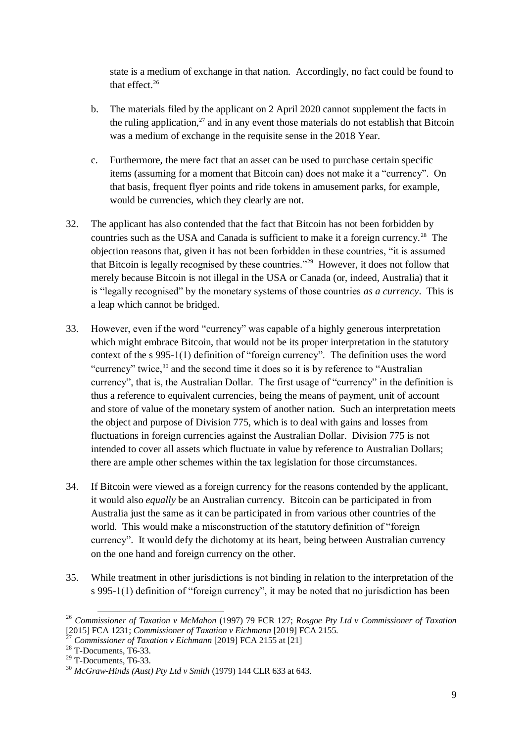state is a medium of exchange in that nation. Accordingly, no fact could be found to that effect. $26$ 

- b. The materials filed by the applicant on 2 April 2020 cannot supplement the facts in the ruling application, $^{27}$  and in any event those materials do not establish that Bitcoin was a medium of exchange in the requisite sense in the 2018 Year.
- c. Furthermore, the mere fact that an asset can be used to purchase certain specific items (assuming for a moment that Bitcoin can) does not make it a "currency". On that basis, frequent flyer points and ride tokens in amusement parks, for example, would be currencies, which they clearly are not.
- 32. The applicant has also contended that the fact that Bitcoin has not been forbidden by countries such as the USA and Canada is sufficient to make it a foreign currency.<sup>28</sup> The objection reasons that, given it has not been forbidden in these countries, "it is assumed that Bitcoin is legally recognised by these countries."<sup>29</sup> However, it does not follow that merely because Bitcoin is not illegal in the USA or Canada (or, indeed, Australia) that it is "legally recognised" by the monetary systems of those countries *as a currency*. This is a leap which cannot be bridged.
- 33. However, even if the word "currency" was capable of a highly generous interpretation which might embrace Bitcoin, that would not be its proper interpretation in the statutory context of the s 995-1(1) definition of "foreign currency". The definition uses the word "currency" twice, $30$  and the second time it does so it is by reference to "Australian" currency", that is, the Australian Dollar. The first usage of "currency" in the definition is thus a reference to equivalent currencies, being the means of payment, unit of account and store of value of the monetary system of another nation. Such an interpretation meets the object and purpose of Division 775, which is to deal with gains and losses from fluctuations in foreign currencies against the Australian Dollar. Division 775 is not intended to cover all assets which fluctuate in value by reference to Australian Dollars; there are ample other schemes within the tax legislation for those circumstances.
- 34. If Bitcoin were viewed as a foreign currency for the reasons contended by the applicant, it would also *equally* be an Australian currency. Bitcoin can be participated in from Australia just the same as it can be participated in from various other countries of the world. This would make a misconstruction of the statutory definition of "foreign currency". It would defy the dichotomy at its heart, being between Australian currency on the one hand and foreign currency on the other.
- 35. While treatment in other jurisdictions is not binding in relation to the interpretation of the s 995-1(1) definition of "foreign currency", it may be noted that no jurisdiction has been

l

<sup>26</sup> *Commissioner of Taxation v McMahon* (1997) 79 FCR 127; *Rosgoe Pty Ltd v Commissioner of Taxation* [2015] FCA 1231; *Commissioner of Taxation v Eichmann* [2019] FCA 2155.

<sup>27</sup> *Commissioner of Taxation v Eichmann* [2019] FCA 2155 at [21]

 $28$  T-Documents, T6-33.

<sup>29</sup> T-Documents, T6-33.

<sup>30</sup> *McGraw-Hinds (Aust) Pty Ltd v Smith* (1979) 144 CLR 633 at 643.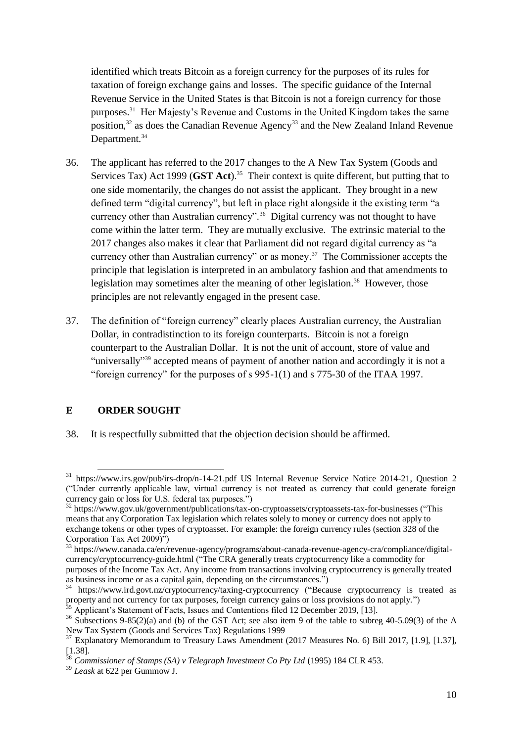identified which treats Bitcoin as a foreign currency for the purposes of its rules for taxation of foreign exchange gains and losses. The specific guidance of the Internal Revenue Service in the United States is that Bitcoin is not a foreign currency for those purposes.<sup>31</sup> Her Majesty's Revenue and Customs in the United Kingdom takes the same position, $32$  as does the Canadian Revenue Agency<sup>33</sup> and the New Zealand Inland Revenue Department.<sup>34</sup>

- 36. The applicant has referred to the 2017 changes to the A New Tax System (Goods and Services Tax) Act 1999 (**GST Act**). 35 Their context is quite different, but putting that to one side momentarily, the changes do not assist the applicant. They brought in a new defined term "digital currency", but left in place right alongside it the existing term "a currency other than Australian currency".<sup>36</sup> Digital currency was not thought to have come within the latter term. They are mutually exclusive. The extrinsic material to the 2017 changes also makes it clear that Parliament did not regard digital currency as "a currency other than Australian currency" or as money.<sup>37</sup> The Commissioner accepts the principle that legislation is interpreted in an ambulatory fashion and that amendments to legislation may sometimes alter the meaning of other legislation.<sup>38</sup> However, those principles are not relevantly engaged in the present case.
- 37. The definition of "foreign currency" clearly places Australian currency, the Australian Dollar, in contradistinction to its foreign counterparts. Bitcoin is not a foreign counterpart to the Australian Dollar. It is not the unit of account, store of value and "universally"<sup>39</sup> accepted means of payment of another nation and accordingly it is not a "foreign currency" for the purposes of s 995-1(1) and s 775-30 of the ITAA 1997.

## **E ORDER SOUGHT**

l

38. It is respectfully submitted that the objection decision should be affirmed.

<sup>31</sup> https://www.irs.gov/pub/irs-drop/n-14-21.pdf US Internal Revenue Service Notice 2014-21, Question 2 ("Under currently applicable law, virtual currency is not treated as currency that could generate foreign currency gain or loss for U.S. federal tax purposes.")

<sup>32</sup> https://www.gov.uk/government/publications/tax-on-cryptoassets/cryptoassets-tax-for-businesses ("This means that any Corporation Tax legislation which relates solely to money or currency does not apply to exchange tokens or other types of cryptoasset. For example: the foreign currency rules (section 328 of the Corporation Tax Act 2009)")

<sup>33</sup> https://www.canada.ca/en/revenue-agency/programs/about-canada-revenue-agency-cra/compliance/digitalcurrency/cryptocurrency-guide.html ("The CRA generally treats cryptocurrency like a commodity for purposes of the Income Tax Act. Any income from transactions involving cryptocurrency is generally treated as business income or as a capital gain, depending on the circumstances.")

<sup>&</sup>lt;sup>34</sup> https://www.ird.govt.nz/cryptocurrency/taxing-cryptocurrency ("Because cryptocurrency is treated as property and not currency for tax purposes, foreign currency gains or loss provisions do not apply.")

Applicant's Statement of Facts, Issues and Contentions filed 12 December 2019, [13].

<sup>&</sup>lt;sup>36</sup> Subsections 9-85(2)(a) and (b) of the GST Act; see also item 9 of the table to subreg 40-5.09(3) of the A New Tax System (Goods and Services Tax) Regulations 1999

<sup>&</sup>lt;sup>37</sup> Explanatory Memorandum to Treasury Laws Amendment (2017 Measures No. 6) Bill 2017, [1.9], [1.37],  $\frac{1}{28}$ [1.38].

<sup>38</sup> *Commissioner of Stamps (SA) v Telegraph Investment Co Pty Ltd* (1995) 184 CLR 453.

<sup>39</sup> *Leask* at 622 per Gummow J.